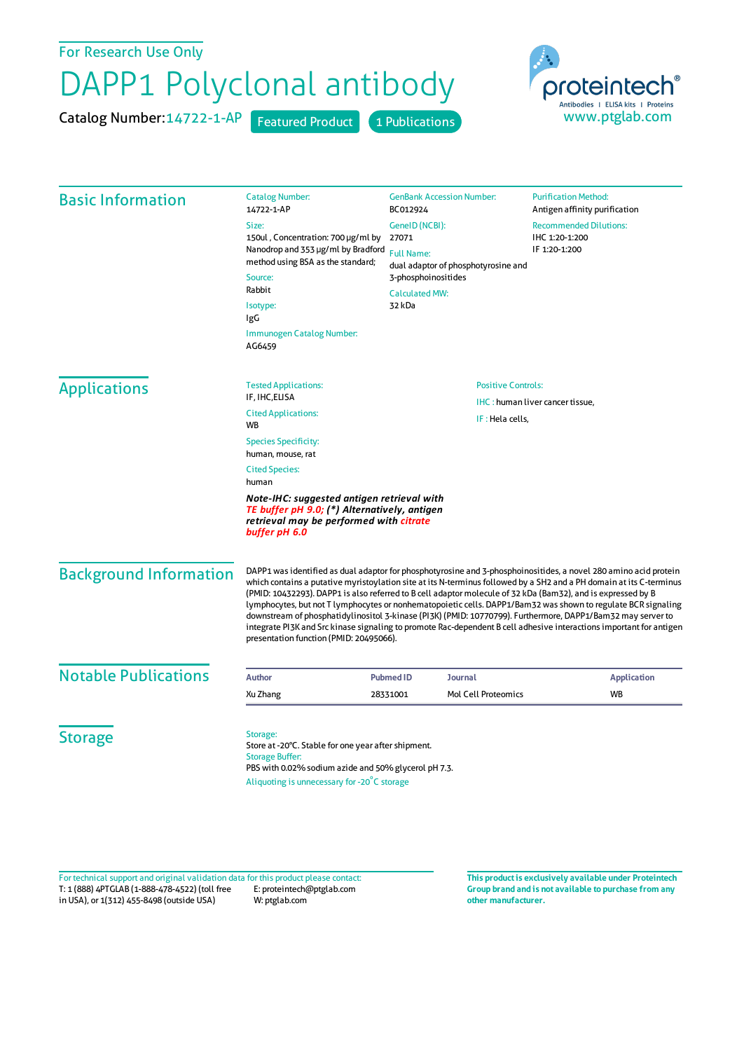## For Research Use Only

## DAPP1 Polyclonal antibody

Catalog Number: 14722-1-AP Featured Product 1 Publications

proteintech Antibodies | ELISA kits | Proteins<br>WWW.ptglab.com

| <b>Basic Information</b>      | <b>Catalog Number:</b><br>14722-1-AP                                                                                                                                                                                                                                                                                                                                                                                                                                                                                                                                                                                                                                                                                                                      | <b>GenBank Accession Number:</b><br>BC012924                                    |  | <b>Purification Method:</b><br>Antigen affinity purification<br><b>Recommended Dilutions:</b> |  |
|-------------------------------|-----------------------------------------------------------------------------------------------------------------------------------------------------------------------------------------------------------------------------------------------------------------------------------------------------------------------------------------------------------------------------------------------------------------------------------------------------------------------------------------------------------------------------------------------------------------------------------------------------------------------------------------------------------------------------------------------------------------------------------------------------------|---------------------------------------------------------------------------------|--|-----------------------------------------------------------------------------------------------|--|
|                               | Size:<br>150ul, Concentration: 700 µg/ml by<br>Nanodrop and 353 µg/ml by Bradford<br>method using BSA as the standard;<br>Source:<br>Rabbit<br>Isotype:<br>IgG                                                                                                                                                                                                                                                                                                                                                                                                                                                                                                                                                                                            | GeneID (NCBI):                                                                  |  |                                                                                               |  |
|                               |                                                                                                                                                                                                                                                                                                                                                                                                                                                                                                                                                                                                                                                                                                                                                           | 27071                                                                           |  | IHC 1:20-1:200<br>IF 1:20-1:200                                                               |  |
|                               |                                                                                                                                                                                                                                                                                                                                                                                                                                                                                                                                                                                                                                                                                                                                                           | <b>Full Name:</b>                                                               |  |                                                                                               |  |
|                               |                                                                                                                                                                                                                                                                                                                                                                                                                                                                                                                                                                                                                                                                                                                                                           | dual adaptor of phosphotyrosine and<br>3-phosphoinositides                      |  |                                                                                               |  |
|                               |                                                                                                                                                                                                                                                                                                                                                                                                                                                                                                                                                                                                                                                                                                                                                           | <b>Calculated MW:</b>                                                           |  |                                                                                               |  |
|                               |                                                                                                                                                                                                                                                                                                                                                                                                                                                                                                                                                                                                                                                                                                                                                           | 32 kDa                                                                          |  |                                                                                               |  |
|                               | Immunogen Catalog Number:<br>AG6459                                                                                                                                                                                                                                                                                                                                                                                                                                                                                                                                                                                                                                                                                                                       |                                                                                 |  |                                                                                               |  |
| <b>Applications</b>           | <b>Tested Applications:</b>                                                                                                                                                                                                                                                                                                                                                                                                                                                                                                                                                                                                                                                                                                                               | <b>Positive Controls:</b><br>IHC: human liver cancer tissue,<br>IF: Hela cells, |  |                                                                                               |  |
|                               | IF, IHC, ELISA                                                                                                                                                                                                                                                                                                                                                                                                                                                                                                                                                                                                                                                                                                                                            |                                                                                 |  |                                                                                               |  |
|                               | <b>Cited Applications:</b><br>WB                                                                                                                                                                                                                                                                                                                                                                                                                                                                                                                                                                                                                                                                                                                          |                                                                                 |  |                                                                                               |  |
|                               | <b>Species Specificity:</b><br>human, mouse, rat                                                                                                                                                                                                                                                                                                                                                                                                                                                                                                                                                                                                                                                                                                          |                                                                                 |  |                                                                                               |  |
|                               | <b>Cited Species:</b><br>human                                                                                                                                                                                                                                                                                                                                                                                                                                                                                                                                                                                                                                                                                                                            |                                                                                 |  |                                                                                               |  |
|                               | Note-IHC: suggested antigen retrieval with<br>TE buffer pH 9.0; (*) Alternatively, antigen<br>retrieval may be performed with citrate<br>buffer pH 6.0                                                                                                                                                                                                                                                                                                                                                                                                                                                                                                                                                                                                    |                                                                                 |  |                                                                                               |  |
| <b>Background Information</b> | DAPP1 was identified as dual adaptor for phosphotyrosine and 3-phosphoinositides, a novel 280 amino acid protein<br>which contains a putative myristoylation site at its N-terminus followed by a SH2 and a PH domain at its C-terminus<br>(PMID: 10432293). DAPP1 is also referred to B cell adaptor molecule of 32 kDa (Bam32), and is expressed by B<br>lymphocytes, but not T lymphocytes or nonhematopoietic cells. DAPP1/Bam32 was shown to regulate BCR signaling<br>downstream of phosphatidylinositol 3-kinase (PI3K) (PMID: 10770799). Furthermore, DAPP1/Bam32 may server to<br>integrate PI3K and Src kinase signaling to promote Rac-dependent B cell adhesive interactions important for antigen<br>presentation function (PMID: 20495066). |                                                                                 |  |                                                                                               |  |
| <b>Notable Publications</b>   | <b>Author</b>                                                                                                                                                                                                                                                                                                                                                                                                                                                                                                                                                                                                                                                                                                                                             | <b>Pubmed ID</b><br>Journal                                                     |  | <b>Application</b>                                                                            |  |
|                               | Xu Zhang                                                                                                                                                                                                                                                                                                                                                                                                                                                                                                                                                                                                                                                                                                                                                  | <b>Mol Cell Proteomics</b><br>28331001                                          |  | <b>WB</b>                                                                                     |  |
| <b>Storage</b>                | Storage:<br>Store at -20°C. Stable for one year after shipment.<br><b>Storage Buffer:</b><br>PBS with 0.02% sodium azide and 50% glycerol pH 7.3.<br>Aliquoting is unnecessary for -20°C storage                                                                                                                                                                                                                                                                                                                                                                                                                                                                                                                                                          |                                                                                 |  |                                                                                               |  |

T: 1 (888) 4PTGLAB (1-888-478-4522) (toll free in USA), or 1(312) 455-8498 (outside USA) E: proteintech@ptglab.com W: ptglab.com Fortechnical support and original validation data forthis product please contact: **This productis exclusively available under Proteintech**

**Group brand and is not available to purchase from any other manufacturer.**